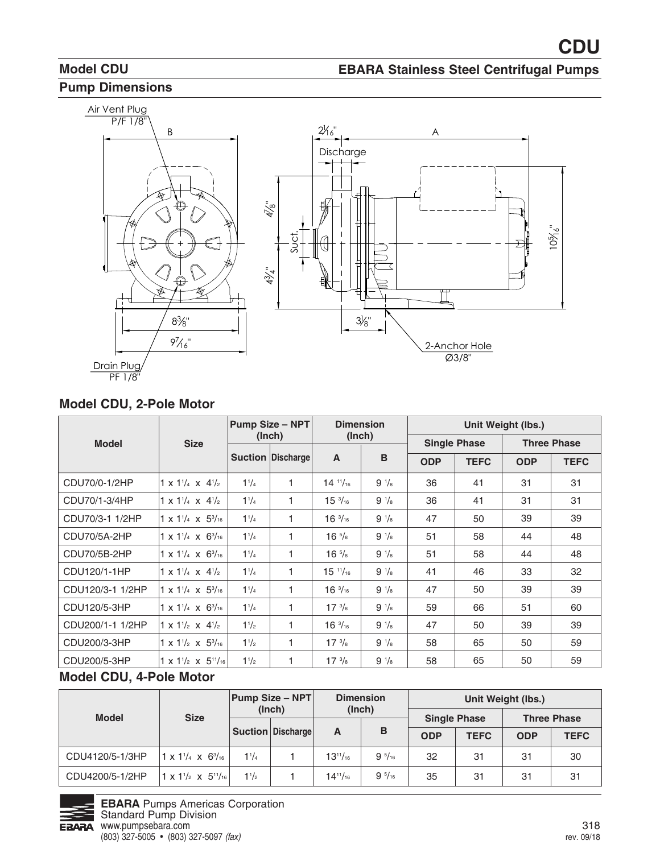# **Model CDU Pump Dimensions**

#### **EBARA Stainless Steel Centrifugal Pumps**



#### **Model CDU, 2-Pole Motor**

|                  |                                               |                | Pump Size - NPT          | <b>Dimension</b>     |                | Unit Weight (lbs.) |                     |                    |             |  |  |
|------------------|-----------------------------------------------|----------------|--------------------------|----------------------|----------------|--------------------|---------------------|--------------------|-------------|--|--|
| <b>Model</b>     | <b>Size</b>                                   |                | (Inch)                   | (Inch)               |                |                    | <b>Single Phase</b> | <b>Three Phase</b> |             |  |  |
|                  |                                               |                | <b>Suction Discharge</b> | A                    | B              | <b>ODP</b>         | <b>TEFC</b>         | <b>ODP</b>         | <b>TEFC</b> |  |  |
| CDU70/0-1/2HP    | $1 \times 1^{1/4} \times 4^{1/2}$             | $1^{1}/_{4}$   | 1                        | $14^{11}/_{16}$      | $9\frac{1}{8}$ | 36                 | 41                  | 31                 | 31          |  |  |
| CDU70/1-3/4HP    | $1 \times 1^{1/4} \times 4^{1/2}$             | $1^{1}/_{4}$   | 1.                       | $15\frac{3}{16}$     | $9\frac{1}{8}$ | 36                 | 41                  | 31                 | 31          |  |  |
| CDU70/3-1 1/2HP  | $1 \times 1\frac{1}{4} \times 5\frac{3}{16}$  | $1^{1}/_{4}$   | 1.                       | $16\frac{3}{16}$     | $9\frac{1}{8}$ | 47                 | 50                  | 39                 | 39          |  |  |
| CDU70/5A-2HP     | $1 \times 1^{1/4} \times 6^{3/16}$            | $1^{1}/_{4}$   | 1                        | $16\frac{5}{8}$      | $9\frac{1}{8}$ | 51                 | 58                  | 44                 | 48          |  |  |
| CDU70/5B-2HP     | $1 \times 1\frac{1}{4} \times 6\frac{3}{16}$  | $1^{1}/_{4}$   | 1                        | $16\frac{5}{8}$      | $9\frac{1}{8}$ | 51                 | 58                  | 44                 | 48          |  |  |
| CDU120/1-1HP     | $1 \times 1^{1/4} \times 4^{1/2}$             | $1^{1}/_{4}$   | 1                        | 15 <sup>11</sup> /16 | $9\frac{1}{8}$ | 41                 | 46                  | 33                 | 32          |  |  |
| CDU120/3-1 1/2HP | $1 \times 1\frac{1}{4} \times 5\frac{3}{16}$  | $1^{1}/_{4}$   | 1                        | $16\frac{3}{16}$     | $9\frac{1}{8}$ | 47                 | 50                  | 39                 | 39          |  |  |
| CDU120/5-3HP     | $1 \times 1^{1/4} \times 6^{3/16}$            | $1^{1}/_{4}$   | 1                        | $17 \frac{3}{8}$     | $9\frac{1}{8}$ | 59                 | 66                  | 51                 | 60          |  |  |
| CDU200/1-1 1/2HP | $1 \times 1\frac{1}{2} \times 4\frac{1}{2}$   | $1\frac{1}{2}$ | 1                        | $16\frac{3}{16}$     | $9\frac{1}{8}$ | 47                 | 50                  | 39                 | 39          |  |  |
| CDU200/3-3HP     | $1 \times 1\frac{1}{2} \times 5\frac{3}{16}$  | $1\frac{1}{2}$ | 1                        | $17 \frac{3}{8}$     | $9\frac{1}{8}$ | 58                 | 65                  | 50                 | 59          |  |  |
| CDU200/5-3HP     | $1 \times 1\frac{1}{2} \times 5\frac{11}{16}$ | $1\frac{1}{2}$ | 1                        | $17 \frac{3}{8}$     | $9\frac{1}{8}$ | 58                 | 65                  | 50                 | 59          |  |  |

## **Model CDU, 4-Pole Motor**

| <b>Model</b>    |                                               |              | <b>Pump Size – NPT</b> | <b>Dimension</b> |                 | Unit Weight (lbs.)  |             |                    |             |  |  |  |
|-----------------|-----------------------------------------------|--------------|------------------------|------------------|-----------------|---------------------|-------------|--------------------|-------------|--|--|--|
|                 | <b>Size</b>                                   | (Inch)       |                        | (Inch)           |                 | <b>Single Phase</b> |             | <b>Three Phase</b> |             |  |  |  |
|                 |                                               |              | Suction   Discharge    | A                | B               | <b>ODP</b>          | <b>TEFC</b> | <b>ODP</b>         | <b>TEFC</b> |  |  |  |
| CDU4120/5-1/3HP | $1 \times 1\frac{1}{4} \times 6\frac{3}{16}$  | $1^{1}/_{4}$ |                        | $13^{11}/_{16}$  | $9\frac{5}{16}$ | 32                  | 31          | 31                 | 30          |  |  |  |
| CDU4200/5-1/2HP | $1 \times 1\frac{1}{2} \times 5\frac{11}{16}$ | 11/2         |                        | $14^{11}/_{16}$  | $9\frac{5}{16}$ | 35                  | 31          | 31                 | 31          |  |  |  |